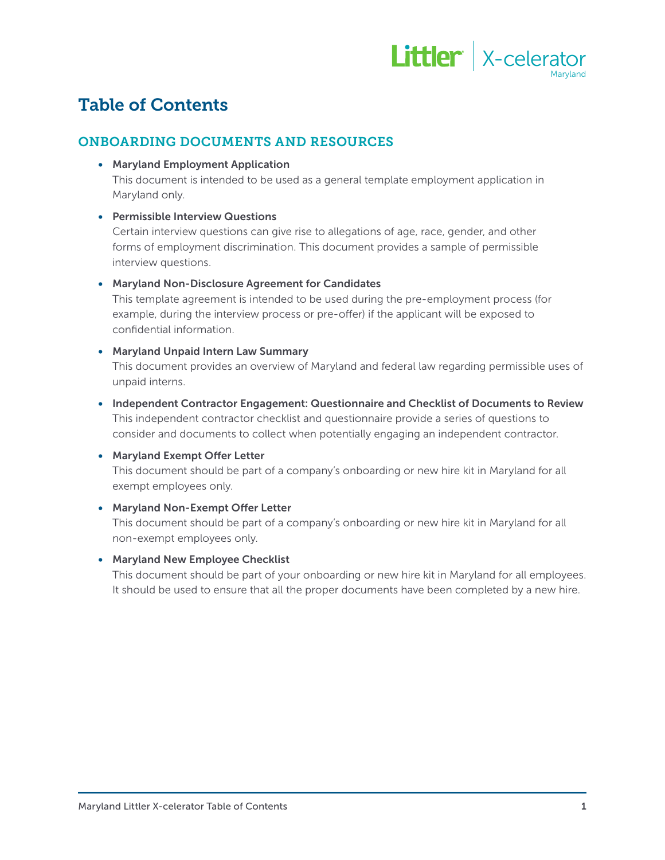

# Table of Contents

# ONBOARDING DOCUMENTS AND RESOURCES

• Maryland Employment Application

This document is intended to be used as a general template employment application in Maryland only.

# • Permissible Interview Questions

Certain interview questions can give rise to allegations of age, race, gender, and other forms of employment discrimination. This document provides a sample of permissible interview questions.

#### • Maryland Non-Disclosure Agreement for Candidates

This template agreement is intended to be used during the pre-employment process (for example, during the interview process or pre-offer) if the applicant will be exposed to confidential information.

#### • Maryland Unpaid Intern Law Summary

This document provides an overview of Maryland and federal law regarding permissible uses of unpaid interns.

• Independent Contractor Engagement: Questionnaire and Checklist of Documents to Review This independent contractor checklist and questionnaire provide a series of questions to consider and documents to collect when potentially engaging an independent contractor.

# • Maryland Exempt Offer Letter

This document should be part of a company's onboarding or new hire kit in Maryland for all exempt employees only.

# • Maryland Non-Exempt Offer Letter

This document should be part of a company's onboarding or new hire kit in Maryland for all non-exempt employees only.

#### • Maryland New Employee Checklist

This document should be part of your onboarding or new hire kit in Maryland for all employees. It should be used to ensure that all the proper documents have been completed by a new hire.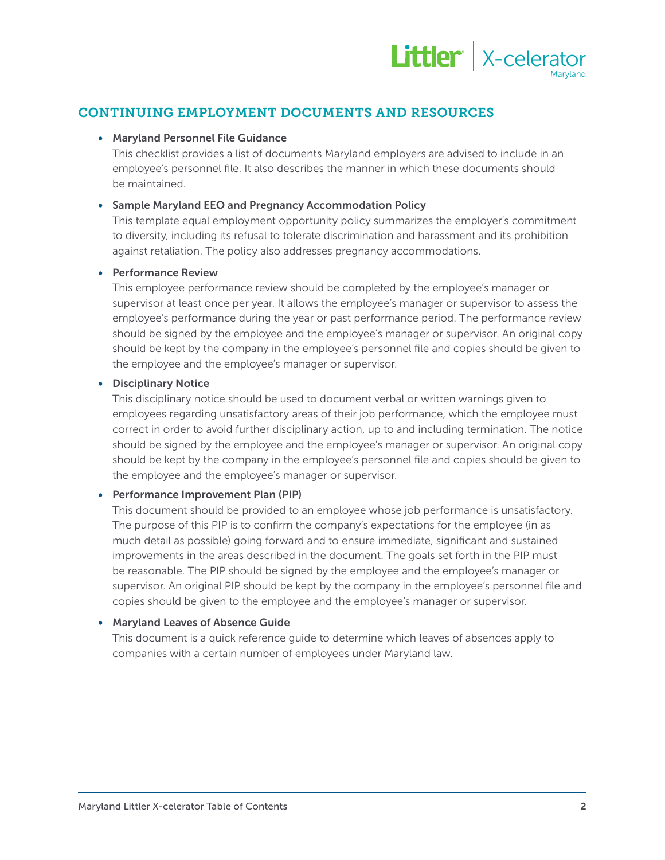

# CONTINUING EMPLOYMENT DOCUMENTS AND RESOURCES

#### • Maryland Personnel File Guidance

This checklist provides a list of documents Maryland employers are advised to include in an employee's personnel file. It also describes the manner in which these documents should be maintained.

# • Sample Maryland EEO and Pregnancy Accommodation Policy

This template equal employment opportunity policy summarizes the employer's commitment to diversity, including its refusal to tolerate discrimination and harassment and its prohibition against retaliation. The policy also addresses pregnancy accommodations.

#### • Performance Review

This employee performance review should be completed by the employee's manager or supervisor at least once per year. It allows the employee's manager or supervisor to assess the employee's performance during the year or past performance period. The performance review should be signed by the employee and the employee's manager or supervisor. An original copy should be kept by the company in the employee's personnel file and copies should be given to the employee and the employee's manager or supervisor.

#### • Disciplinary Notice

This disciplinary notice should be used to document verbal or written warnings given to employees regarding unsatisfactory areas of their job performance, which the employee must correct in order to avoid further disciplinary action, up to and including termination. The notice should be signed by the employee and the employee's manager or supervisor. An original copy should be kept by the company in the employee's personnel file and copies should be given to the employee and the employee's manager or supervisor.

# • Performance Improvement Plan (PIP)

This document should be provided to an employee whose job performance is unsatisfactory. The purpose of this PIP is to confirm the company's expectations for the employee (in as much detail as possible) going forward and to ensure immediate, significant and sustained improvements in the areas described in the document. The goals set forth in the PIP must be reasonable. The PIP should be signed by the employee and the employee's manager or supervisor. An original PIP should be kept by the company in the employee's personnel file and copies should be given to the employee and the employee's manager or supervisor.

# • Maryland Leaves of Absence Guide

This document is a quick reference guide to determine which leaves of absences apply to companies with a certain number of employees under Maryland law.